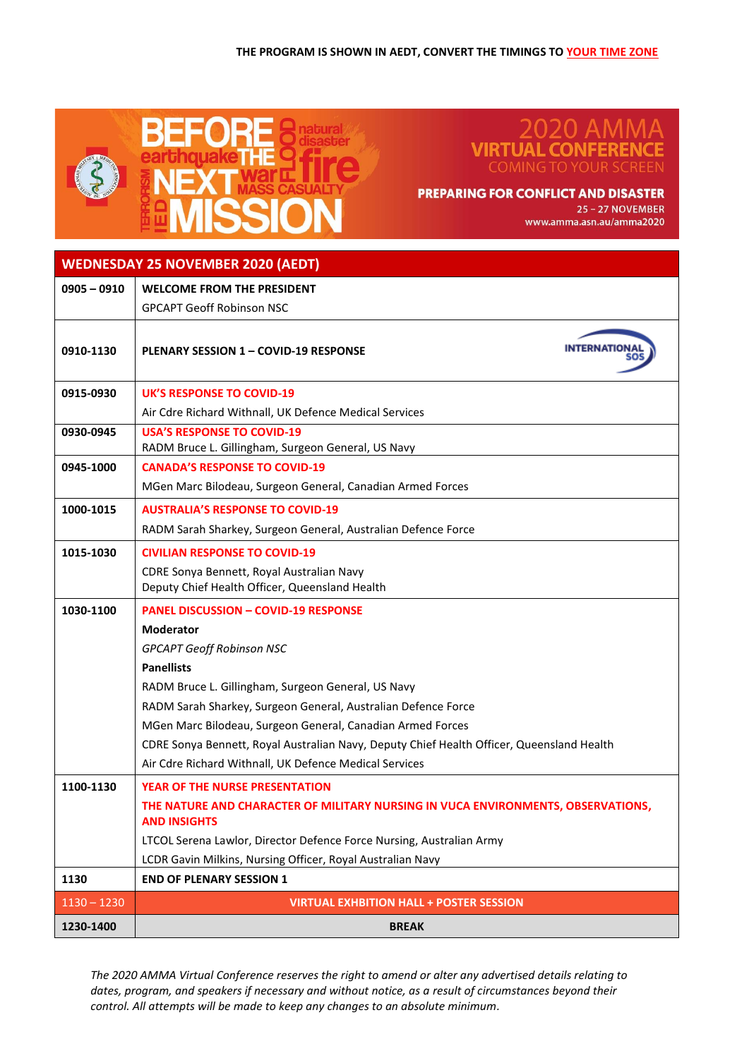

## ノロ AN **VIRTUA** <u>co</u> **COMING TO YOUR SCREEN**

## **PREPARING FOR CONFLICT AND DISASTER**

25 - 27 NOVEMBER www.amma.asn.au/amma2020

| <b>WEDNESDAY 25 NOVEMBER 2020 (AEDT)</b> |  |
|------------------------------------------|--|
|                                          |  |

| $0905 - 0910$ | <b>WELCOME FROM THE PRESIDENT</b>                                                                       |
|---------------|---------------------------------------------------------------------------------------------------------|
|               | <b>GPCAPT Geoff Robinson NSC</b>                                                                        |
| 0910-1130     | <b>PLENARY SESSION 1 - COVID-19 RESPONSE</b>                                                            |
| 0915-0930     | <b>UK'S RESPONSE TO COVID-19</b>                                                                        |
|               | Air Cdre Richard Withnall, UK Defence Medical Services                                                  |
| 0930-0945     | <b>USA'S RESPONSE TO COVID-19</b>                                                                       |
|               | RADM Bruce L. Gillingham, Surgeon General, US Navy                                                      |
| 0945-1000     | <b>CANADA'S RESPONSE TO COVID-19</b>                                                                    |
|               | MGen Marc Bilodeau, Surgeon General, Canadian Armed Forces                                              |
| 1000-1015     | <b>AUSTRALIA'S RESPONSE TO COVID-19</b>                                                                 |
|               | RADM Sarah Sharkey, Surgeon General, Australian Defence Force                                           |
| 1015-1030     | <b>CIVILIAN RESPONSE TO COVID-19</b>                                                                    |
|               | CDRE Sonya Bennett, Royal Australian Navy<br>Deputy Chief Health Officer, Queensland Health             |
| 1030-1100     | <b>PANEL DISCUSSION - COVID-19 RESPONSE</b>                                                             |
|               | <b>Moderator</b>                                                                                        |
|               | <b>GPCAPT Geoff Robinson NSC</b>                                                                        |
|               | <b>Panellists</b>                                                                                       |
|               | RADM Bruce L. Gillingham, Surgeon General, US Navy                                                      |
|               | RADM Sarah Sharkey, Surgeon General, Australian Defence Force                                           |
|               | MGen Marc Bilodeau, Surgeon General, Canadian Armed Forces                                              |
|               | CDRE Sonya Bennett, Royal Australian Navy, Deputy Chief Health Officer, Queensland Health               |
|               | Air Cdre Richard Withnall, UK Defence Medical Services                                                  |
| 1100-1130     | <b>YEAR OF THE NURSE PRESENTATION</b>                                                                   |
|               | THE NATURE AND CHARACTER OF MILITARY NURSING IN VUCA ENVIRONMENTS, OBSERVATIONS,<br><b>AND INSIGHTS</b> |
|               | LTCOL Serena Lawlor, Director Defence Force Nursing, Australian Army                                    |
|               | LCDR Gavin Milkins, Nursing Officer, Royal Australian Navy                                              |
| 1130          | <b>END OF PLENARY SESSION 1</b>                                                                         |
| $1130 - 1230$ | <b>VIRTUAL EXHBITION HALL + POSTER SESSION</b>                                                          |
| 1230-1400     | <b>BREAK</b>                                                                                            |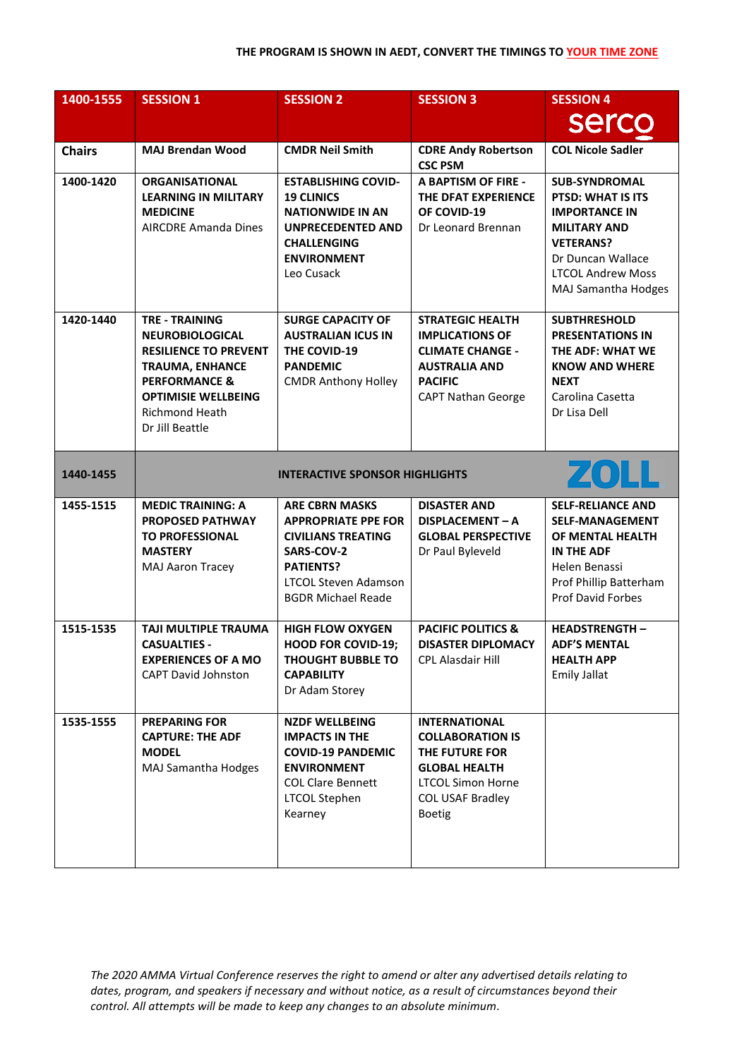| 1400-1555     | <b>SESSION 1</b>                                                                                                                                                                                                | <b>SESSION 2</b>                                                                                                                                                               | <b>SESSION 3</b>                                                                                                                                                  | <b>SESSION 4</b>                                                                                                                                                                     |  |
|---------------|-----------------------------------------------------------------------------------------------------------------------------------------------------------------------------------------------------------------|--------------------------------------------------------------------------------------------------------------------------------------------------------------------------------|-------------------------------------------------------------------------------------------------------------------------------------------------------------------|--------------------------------------------------------------------------------------------------------------------------------------------------------------------------------------|--|
|               |                                                                                                                                                                                                                 |                                                                                                                                                                                |                                                                                                                                                                   | <b>sercc</b>                                                                                                                                                                         |  |
| <b>Chairs</b> | <b>MAJ Brendan Wood</b>                                                                                                                                                                                         | <b>CMDR Neil Smith</b>                                                                                                                                                         | <b>CDRE Andy Robertson</b><br><b>CSC PSM</b>                                                                                                                      | <b>COL Nicole Sadler</b>                                                                                                                                                             |  |
| 1400-1420     | <b>ORGANISATIONAL</b><br><b>LEARNING IN MILITARY</b><br><b>MEDICINE</b><br><b>AIRCDRE Amanda Dines</b>                                                                                                          | <b>ESTABLISHING COVID-</b><br><b>19 CLINICS</b><br><b>NATIONWIDE IN AN</b><br><b>UNPRECEDENTED AND</b><br><b>CHALLENGING</b><br><b>ENVIRONMENT</b><br>Leo Cusack               | <b>A BAPTISM OF FIRE -</b><br>THE DFAT EXPERIENCE<br>OF COVID-19<br>Dr Leonard Brennan                                                                            | <b>SUB-SYNDROMAL</b><br>PTSD: WHAT IS ITS<br><b>IMPORTANCE IN</b><br><b>MILITARY AND</b><br><b>VETERANS?</b><br>Dr Duncan Wallace<br><b>LTCOL Andrew Moss</b><br>MAJ Samantha Hodges |  |
| 1420-1440     | <b>TRE - TRAINING</b><br><b>NEUROBIOLOGICAL</b><br><b>RESILIENCE TO PREVENT</b><br><b>TRAUMA, ENHANCE</b><br><b>PERFORMANCE &amp;</b><br><b>OPTIMISIE WELLBEING</b><br><b>Richmond Heath</b><br>Dr Jill Beattle | <b>SURGE CAPACITY OF</b><br><b>AUSTRALIAN ICUS IN</b><br>THE COVID-19<br><b>PANDEMIC</b><br><b>CMDR Anthony Holley</b>                                                         | <b>STRATEGIC HEALTH</b><br><b>IMPLICATIONS OF</b><br><b>CLIMATE CHANGE -</b><br><b>AUSTRALIA AND</b><br><b>PACIFIC</b><br><b>CAPT Nathan George</b>               | <b>SUBTHRESHOLD</b><br><b>PRESENTATIONS IN</b><br>THE ADF: WHAT WE<br><b>KNOW AND WHERE</b><br><b>NEXT</b><br>Carolina Casetta<br>Dr Lisa Dell                                       |  |
| 1440-1455     | ZOLL<br><b>INTERACTIVE SPONSOR HIGHLIGHTS</b>                                                                                                                                                                   |                                                                                                                                                                                |                                                                                                                                                                   |                                                                                                                                                                                      |  |
| 1455-1515     | <b>MEDIC TRAINING: A</b><br><b>PROPOSED PATHWAY</b><br><b>TO PROFESSIONAL</b><br><b>MASTERY</b><br>MAJ Aaron Tracey                                                                                             | <b>ARE CBRN MASKS</b><br><b>APPROPRIATE PPE FOR</b><br><b>CIVILIANS TREATING</b><br>SARS-COV-2<br><b>PATIENTS?</b><br><b>LTCOL Steven Adamson</b><br><b>BGDR Michael Reade</b> | <b>DISASTER AND</b><br>DISPLACEMENT - A<br><b>GLOBAL PERSPECTIVE</b><br>Dr Paul Byleveld                                                                          | <b>SELF-RELIANCE AND</b><br><b>SELF-MANAGEMENT</b><br>OF MENTAL HEALTH<br><b>IN THE ADF</b><br>Helen Benassi<br>Prof Phillip Batterham<br><b>Prof David Forbes</b>                   |  |
| 1515-1535     | <b>TAJI MULTIPLE TRAUMA</b><br><b>CASUALTIES -</b><br><b>EXPERIENCES OF A MO</b><br><b>CAPT David Johnston</b>                                                                                                  | <b>HIGH FLOW OXYGEN</b><br><b>HOOD FOR COVID-19;</b><br><b>THOUGHT BUBBLE TO</b><br><b>CAPABILITY</b><br>Dr Adam Storey                                                        | <b>PACIFIC POLITICS &amp;</b><br><b>DISASTER DIPLOMACY</b><br>CPL Alasdair Hill                                                                                   | <b>HEADSTRENGTH-</b><br><b>ADF'S MENTAL</b><br><b>HEALTH APP</b><br><b>Emily Jallat</b>                                                                                              |  |
| 1535-1555     | <b>PREPARING FOR</b><br><b>CAPTURE: THE ADF</b><br><b>MODEL</b><br><b>MAJ Samantha Hodges</b>                                                                                                                   | <b>NZDF WELLBEING</b><br><b>IMPACTS IN THE</b><br><b>COVID-19 PANDEMIC</b><br><b>ENVIRONMENT</b><br><b>COL Clare Bennett</b><br><b>LTCOL Stephen</b><br>Kearney                | <b>INTERNATIONAL</b><br><b>COLLABORATION IS</b><br>THE FUTURE FOR<br><b>GLOBAL HEALTH</b><br><b>LTCOL Simon Horne</b><br><b>COL USAF Bradley</b><br><b>Boetig</b> |                                                                                                                                                                                      |  |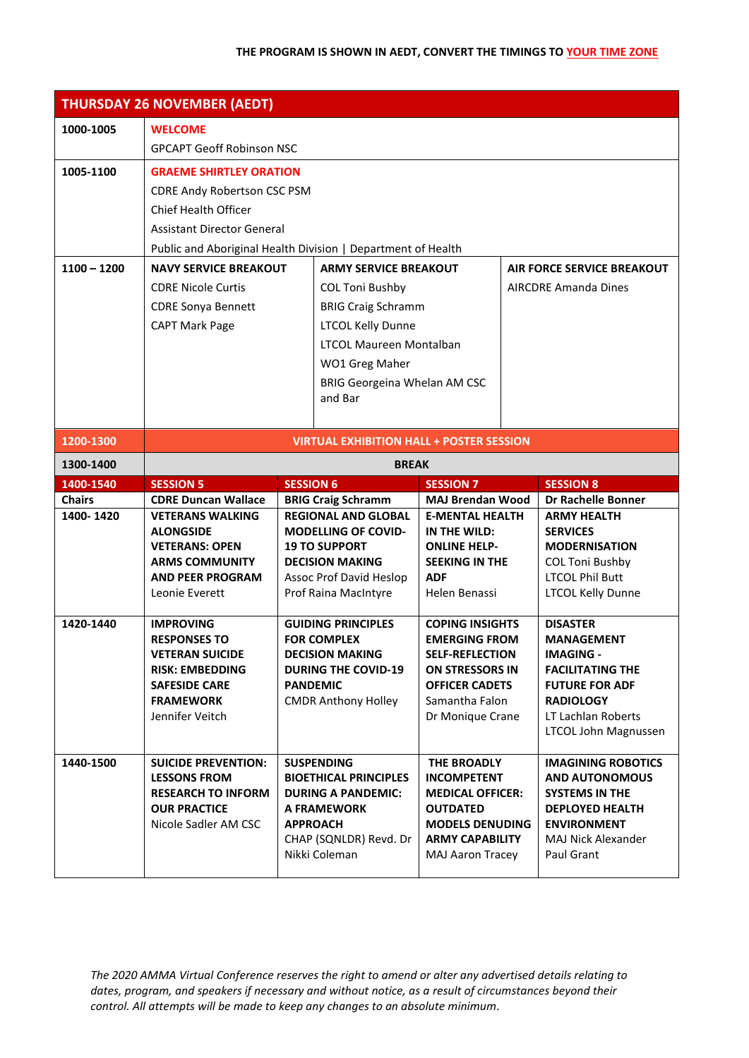|               | <b>THURSDAY 26 NOVEMBER (AEDT)</b>                                                         |                        |                                                 |                                                   |  |                                                    |
|---------------|--------------------------------------------------------------------------------------------|------------------------|-------------------------------------------------|---------------------------------------------------|--|----------------------------------------------------|
| 1000-1005     | <b>WELCOME</b>                                                                             |                        |                                                 |                                                   |  |                                                    |
|               | <b>GPCAPT Geoff Robinson NSC</b>                                                           |                        |                                                 |                                                   |  |                                                    |
| 1005-1100     | <b>GRAEME SHIRTLEY ORATION</b>                                                             |                        |                                                 |                                                   |  |                                                    |
|               | <b>CDRE Andy Robertson CSC PSM</b>                                                         |                        |                                                 |                                                   |  |                                                    |
|               | <b>Chief Health Officer</b>                                                                |                        |                                                 |                                                   |  |                                                    |
|               | <b>Assistant Director General</b>                                                          |                        |                                                 |                                                   |  |                                                    |
|               | Public and Aboriginal Health Division   Department of Health                               |                        |                                                 |                                                   |  |                                                    |
| $1100 - 1200$ | <b>NAVY SERVICE BREAKOUT</b><br><b>ARMY SERVICE BREAKOUT</b><br>AIR FORCE SERVICE BREAKOUT |                        |                                                 |                                                   |  |                                                    |
|               | <b>CDRE Nicole Curtis</b>                                                                  | <b>COL Toni Bushby</b> |                                                 | <b>AIRCDRE Amanda Dines</b>                       |  |                                                    |
|               | <b>CDRE Sonya Bennett</b>                                                                  |                        | <b>BRIG Craig Schramm</b>                       |                                                   |  |                                                    |
|               | <b>CAPT Mark Page</b>                                                                      |                        | <b>LTCOL Kelly Dunne</b>                        |                                                   |  |                                                    |
|               |                                                                                            |                        | <b>LTCOL Maureen Montalban</b>                  |                                                   |  |                                                    |
|               |                                                                                            |                        | WO1 Greg Maher                                  |                                                   |  |                                                    |
|               |                                                                                            |                        | BRIG Georgeina Whelan AM CSC                    |                                                   |  |                                                    |
|               |                                                                                            |                        | and Bar                                         |                                                   |  |                                                    |
|               |                                                                                            |                        |                                                 |                                                   |  |                                                    |
| 1200-1300     | <b>VIRTUAL EXHIBITION HALL + POSTER SESSION</b>                                            |                        |                                                 |                                                   |  |                                                    |
| 1300-1400     |                                                                                            |                        | <b>BREAK</b>                                    |                                                   |  |                                                    |
| 1400-1540     | <b>SESSION 5</b>                                                                           | <b>SESSION 6</b>       |                                                 | <b>SESSION 7</b>                                  |  | <b>SESSION 8</b>                                   |
|               |                                                                                            |                        |                                                 |                                                   |  |                                                    |
| <b>Chairs</b> | <b>CDRE Duncan Wallace</b>                                                                 |                        | <b>BRIG Craig Schramm</b>                       | <b>MAJ Brendan Wood</b>                           |  | <b>Dr Rachelle Bonner</b>                          |
| 1400-1420     | <b>VETERANS WALKING</b>                                                                    |                        | <b>REGIONAL AND GLOBAL</b>                      | <b>E-MENTAL HEALTH</b>                            |  | <b>ARMY HEALTH</b>                                 |
|               | <b>ALONGSIDE</b>                                                                           |                        | <b>MODELLING OF COVID-</b>                      | IN THE WILD:                                      |  | <b>SERVICES</b>                                    |
|               | <b>VETERANS: OPEN</b>                                                                      |                        | <b>19 TO SUPPORT</b>                            | <b>ONLINE HELP-</b>                               |  | <b>MODERNISATION</b>                               |
|               | <b>ARMS COMMUNITY</b><br><b>AND PEER PROGRAM</b>                                           |                        | <b>DECISION MAKING</b>                          | <b>SEEKING IN THE</b><br><b>ADF</b>               |  | <b>COL Toni Bushby</b>                             |
|               | Leonie Everett                                                                             |                        | Assoc Prof David Heslop<br>Prof Raina MacIntyre | Helen Benassi                                     |  | <b>LTCOL Phil Butt</b><br><b>LTCOL Kelly Dunne</b> |
|               |                                                                                            |                        |                                                 |                                                   |  |                                                    |
| 1420-1440     | <b>IMPROVING</b>                                                                           |                        | <b>GUIDING PRINCIPLES</b>                       | <b>COPING INSIGHTS</b>                            |  | <b>DISASTER</b>                                    |
|               | <b>RESPONSES TO</b>                                                                        |                        | <b>FOR COMPLEX</b>                              | <b>EMERGING FROM</b>                              |  | <b>MANAGEMENT</b>                                  |
|               | <b>VETERAN SUICIDE</b>                                                                     |                        | <b>DECISION MAKING</b>                          | <b>SELF-REFLECTION</b>                            |  | <b>IMAGING -</b>                                   |
|               | <b>RISK: EMBEDDING</b><br><b>SAFESIDE CARE</b>                                             |                        | <b>DURING THE COVID-19</b><br><b>PANDEMIC</b>   | ON STRESSORS IN<br><b>OFFICER CADETS</b>          |  | <b>FACILITATING THE</b><br><b>FUTURE FOR ADF</b>   |
|               | <b>FRAMEWORK</b>                                                                           |                        | <b>CMDR Anthony Holley</b>                      | Samantha Falon                                    |  | <b>RADIOLOGY</b>                                   |
|               | Jennifer Veitch                                                                            |                        |                                                 | Dr Monique Crane                                  |  | LT Lachlan Roberts                                 |
|               |                                                                                            |                        |                                                 |                                                   |  | LTCOL John Magnussen                               |
| 1440-1500     | <b>SUICIDE PREVENTION:</b>                                                                 |                        | <b>SUSPENDING</b>                               | THE BROADLY                                       |  | <b>IMAGINING ROBOTICS</b>                          |
|               | <b>LESSONS FROM</b>                                                                        |                        | <b>BIOETHICAL PRINCIPLES</b>                    | <b>INCOMPETENT</b>                                |  | <b>AND AUTONOMOUS</b>                              |
|               | <b>RESEARCH TO INFORM</b>                                                                  |                        | <b>DURING A PANDEMIC:</b>                       | <b>MEDICAL OFFICER:</b>                           |  | <b>SYSTEMS IN THE</b>                              |
|               | <b>OUR PRACTICE</b>                                                                        |                        | <b>A FRAMEWORK</b>                              | <b>OUTDATED</b>                                   |  | <b>DEPLOYED HEALTH</b>                             |
|               | Nicole Sadler AM CSC                                                                       |                        | <b>APPROACH</b>                                 | <b>MODELS DENUDING</b>                            |  | <b>ENVIRONMENT</b>                                 |
|               |                                                                                            |                        | CHAP (SQNLDR) Revd. Dr<br>Nikki Coleman         | <b>ARMY CAPABILITY</b><br><b>MAJ Aaron Tracey</b> |  | MAJ Nick Alexander<br>Paul Grant                   |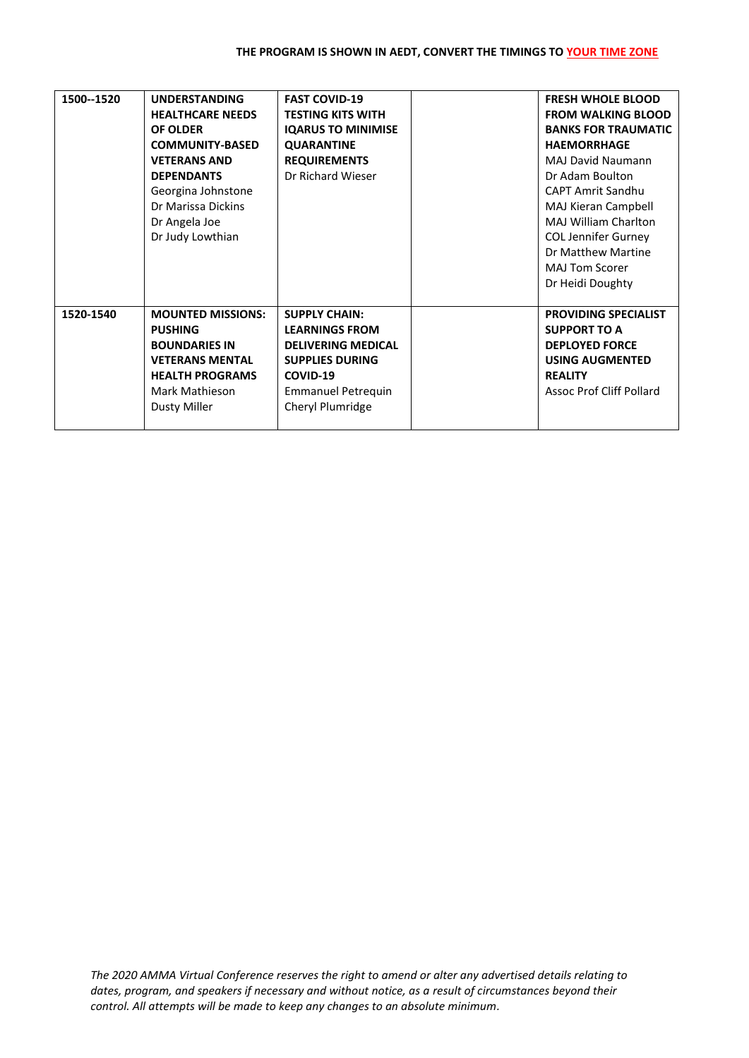| 1500--1520 | <b>UNDERSTANDING</b><br><b>HEALTHCARE NEEDS</b><br><b>OF OLDER</b><br><b>COMMUNITY-BASED</b><br><b>VETERANS AND</b><br><b>DEPENDANTS</b><br>Georgina Johnstone<br>Dr Marissa Dickins<br>Dr Angela Joe<br>Dr Judy Lowthian | <b>FAST COVID-19</b><br><b>TESTING KITS WITH</b><br><b>IQARUS TO MINIMISE</b><br><b>QUARANTINE</b><br><b>REQUIREMENTS</b><br>Dr Richard Wieser                    | <b>FRESH WHOLE BLOOD</b><br><b>FROM WALKING BLOOD</b><br><b>BANKS FOR TRAUMATIC</b><br><b>HAEMORRHAGE</b><br><b>MAJ David Naumann</b><br>Dr Adam Boulton<br><b>CAPT Amrit Sandhu</b><br>MAJ Kieran Campbell<br><b>MAJ William Charlton</b><br><b>COL Jennifer Gurney</b><br>Dr Matthew Martine<br><b>MAJ Tom Scorer</b><br>Dr Heidi Doughty |
|------------|---------------------------------------------------------------------------------------------------------------------------------------------------------------------------------------------------------------------------|-------------------------------------------------------------------------------------------------------------------------------------------------------------------|---------------------------------------------------------------------------------------------------------------------------------------------------------------------------------------------------------------------------------------------------------------------------------------------------------------------------------------------|
| 1520-1540  | <b>MOUNTED MISSIONS:</b><br><b>PUSHING</b><br><b>BOUNDARIES IN</b><br><b>VETERANS MENTAL</b><br><b>HEALTH PROGRAMS</b><br>Mark Mathieson<br><b>Dusty Miller</b>                                                           | <b>SUPPLY CHAIN:</b><br><b>LEARNINGS FROM</b><br><b>DELIVERING MEDICAL</b><br><b>SUPPLIES DURING</b><br>COVID-19<br><b>Emmanuel Petrequin</b><br>Cheryl Plumridge | <b>PROVIDING SPECIALIST</b><br><b>SUPPORT TO A</b><br><b>DEPLOYED FORCE</b><br><b>USING AUGMENTED</b><br><b>REALITY</b><br>Assoc Prof Cliff Pollard                                                                                                                                                                                         |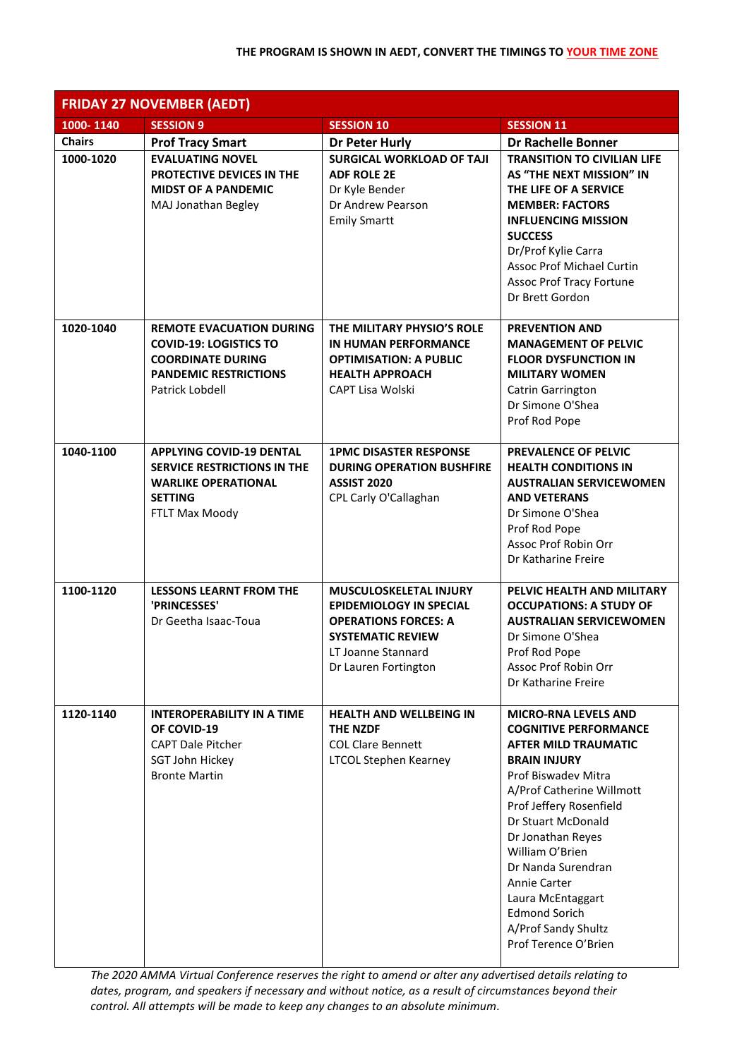| <b>FRIDAY 27 NOVEMBER (AEDT)</b> |                                                                                                                                                 |                                                                                                                                                                          |                                                                                                                                                                                                                                                                                                                                                                                                  |  |
|----------------------------------|-------------------------------------------------------------------------------------------------------------------------------------------------|--------------------------------------------------------------------------------------------------------------------------------------------------------------------------|--------------------------------------------------------------------------------------------------------------------------------------------------------------------------------------------------------------------------------------------------------------------------------------------------------------------------------------------------------------------------------------------------|--|
| 1000-1140                        | <b>SESSION 9</b>                                                                                                                                | <b>SESSION 10</b>                                                                                                                                                        | <b>SESSION 11</b>                                                                                                                                                                                                                                                                                                                                                                                |  |
| <b>Chairs</b>                    | <b>Prof Tracy Smart</b>                                                                                                                         | Dr Peter Hurly                                                                                                                                                           | <b>Dr Rachelle Bonner</b>                                                                                                                                                                                                                                                                                                                                                                        |  |
| 1000-1020                        | <b>EVALUATING NOVEL</b><br>PROTECTIVE DEVICES IN THE<br><b>MIDST OF A PANDEMIC</b><br>MAJ Jonathan Begley                                       | <b>SURGICAL WORKLOAD OF TAJI</b><br><b>ADF ROLE 2E</b><br>Dr Kyle Bender<br>Dr Andrew Pearson<br><b>Emily Smartt</b>                                                     | <b>TRANSITION TO CIVILIAN LIFE</b><br>AS "THE NEXT MISSION" IN<br>THE LIFE OF A SERVICE<br><b>MEMBER: FACTORS</b><br><b>INFLUENCING MISSION</b><br><b>SUCCESS</b><br>Dr/Prof Kylie Carra<br>Assoc Prof Michael Curtin<br><b>Assoc Prof Tracy Fortune</b><br>Dr Brett Gordon                                                                                                                      |  |
| 1020-1040                        | <b>REMOTE EVACUATION DURING</b><br><b>COVID-19: LOGISTICS TO</b><br><b>COORDINATE DURING</b><br><b>PANDEMIC RESTRICTIONS</b><br>Patrick Lobdell | THE MILITARY PHYSIO'S ROLE<br>IN HUMAN PERFORMANCE<br><b>OPTIMISATION: A PUBLIC</b><br><b>HEALTH APPROACH</b><br>CAPT Lisa Wolski                                        | <b>PREVENTION AND</b><br><b>MANAGEMENT OF PELVIC</b><br><b>FLOOR DYSFUNCTION IN</b><br><b>MILITARY WOMEN</b><br>Catrin Garrington<br>Dr Simone O'Shea<br>Prof Rod Pope                                                                                                                                                                                                                           |  |
| 1040-1100                        | <b>APPLYING COVID-19 DENTAL</b><br><b>SERVICE RESTRICTIONS IN THE</b><br><b>WARLIKE OPERATIONAL</b><br><b>SETTING</b><br>FTLT Max Moody         | <b>1PMC DISASTER RESPONSE</b><br><b>DURING OPERATION BUSHFIRE</b><br><b>ASSIST 2020</b><br>CPL Carly O'Callaghan                                                         | <b>PREVALENCE OF PELVIC</b><br><b>HEALTH CONDITIONS IN</b><br><b>AUSTRALIAN SERVICEWOMEN</b><br><b>AND VETERANS</b><br>Dr Simone O'Shea<br>Prof Rod Pope<br>Assoc Prof Robin Orr<br>Dr Katharine Freire                                                                                                                                                                                          |  |
| 1100-1120                        | <b>LESSONS LEARNT FROM THE</b><br>'PRINCESSES'<br>Dr Geetha Isaac-Toua                                                                          | <b>MUSCULOSKELETAL INJURY</b><br><b>EPIDEMIOLOGY IN SPECIAL</b><br><b>OPERATIONS FORCES: A</b><br><b>SYSTEMATIC REVIEW</b><br>LT Joanne Stannard<br>Dr Lauren Fortington | PELVIC HEALTH AND MILITARY<br><b>OCCUPATIONS: A STUDY OF</b><br><b>AUSTRALIAN SERVICEWOMEN</b><br>Dr Simone O'Shea<br>Prof Rod Pope<br>Assoc Prof Robin Orr<br>Dr Katharine Freire                                                                                                                                                                                                               |  |
| 1120-1140                        | <b>INTEROPERABILITY IN A TIME</b><br>OF COVID-19<br><b>CAPT Dale Pitcher</b><br>SGT John Hickey<br><b>Bronte Martin</b>                         | <b>HEALTH AND WELLBEING IN</b><br><b>THE NZDF</b><br><b>COL Clare Bennett</b><br><b>LTCOL Stephen Kearney</b>                                                            | <b>MICRO-RNA LEVELS AND</b><br><b>COGNITIVE PERFORMANCE</b><br><b>AFTER MILD TRAUMATIC</b><br><b>BRAIN INJURY</b><br>Prof Biswadev Mitra<br>A/Prof Catherine Willmott<br>Prof Jeffery Rosenfield<br>Dr Stuart McDonald<br>Dr Jonathan Reyes<br>William O'Brien<br>Dr Nanda Surendran<br>Annie Carter<br>Laura McEntaggart<br><b>Edmond Sorich</b><br>A/Prof Sandy Shultz<br>Prof Terence O'Brien |  |